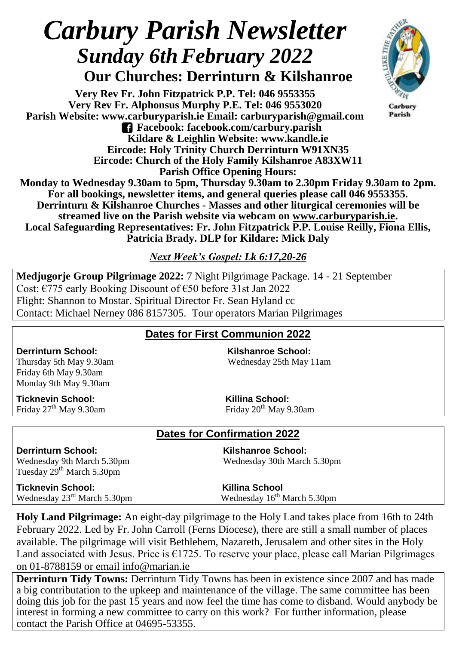# *Carbury Parish Newsletter*  **Sunday 6th February** 2022

 **Our Churches: Derrinturn & Kilshanroe**

**Very Rev Fr. John Fitzpatrick P.P. Tel: 046 9553355 Very Rev Fr. Alphonsus Murphy P.E. Tel: 046 9553020 Parish Website: www.carburyparish.ie Email: carburyparish@gmail.com Facebook: facebook.com/carbury.parish Kildare & Leighlin Website: www.kandle.ie Eircode: Holy Trinity Church Derrinturn W91XN35 Eircode: Church of the Holy Family Kilshanroe A83XW11 Parish Office Opening Hours:**



Carbury Parish

**Monday to Wednesday 9.30am to 5pm, Thursday 9.30am to 2.30pm Friday 9.30am to 2pm. For all bookings, newsletter items, and general queries please call 046 9553355. Derrinturn & Kilshanroe Churches - Masses and other liturgical ceremonies will be streamed live on the Parish website via webcam on [www.carburyparish.ie.](http://www.carburyparish.ie/) Local Safeguarding Representatives: Fr. John Fitzpatrick P.P. Louise Reilly, Fiona Ellis, Patricia Brady. DLP for Kildare: Mick Daly**

*Next Week's Gospel: Lk 6:17,20-26*

**Medjugorje Group Pilgrimage 2022:** 7 Night Pilgrimage Package. 14 - 21 September Cost: €775 early Booking Discount of €50 before 31st Jan 2022 Flight: Shannon to Mostar. Spiritual Director Fr. Sean Hyland cc Contact: Michael Nerney 086 8157305. Tour operators Marian Pilgrimages

#### **Dates for First Communion 2022**

Friday 6th May 9.30am Monday 9th May 9.30am

**Ticknevin School:**<br> **Killina School:**<br> **Killina School:**<br> **Killina School:**<br> **Killina School:**<br> **Killina School:** 

**Derrinturn School: Kilshanroe School:** Thursday 5th May 9.30am Wednesday 25th May 11am

Friday 20<sup>th</sup> May 9.30am

## **Dates for Confirmation 2022**

**Derrinturn School: Kilshanroe School:** Tuesday 29<sup>th</sup> March 5.30pm

Wednesday 9th March 5.30pm Wednesday 30th March 5.30pm

**Ticknevin School:**<br>Wednesday 23<sup>rd</sup> March 5.30pm<br>Wednesday 16<sup>th</sup> March 5.30pm Wednesday  $23<sup>rd</sup>$  March 5.30pm

**Holy Land Pilgrimage:** An eight-day pilgrimage to the Holy Land takes place from 16th to 24th February 2022. Led by Fr. John Carroll (Ferns Diocese), there are still a small number of places available. The pilgrimage will visit Bethlehem, Nazareth, Jerusalem and other sites in the Holy Land associated with Jesus. Price is  $\epsilon$ 1725. To reserve your place, please call Marian Pilgrimages on 01-8788159 or email [info@marian.ie](mailto:info@marian.ie)

**Derrinturn Tidy Towns:** Derrinturn Tidy Towns has been in existence since 2007 and has made a big contributation to the upkeep and maintenance of the village. The same committee has been doing this job for the past 15 years and now feel the time has come to disband. Would anybody be interest in forming a new committee to carry on this work? For further information, please contact the Parish Office at 04695-53355.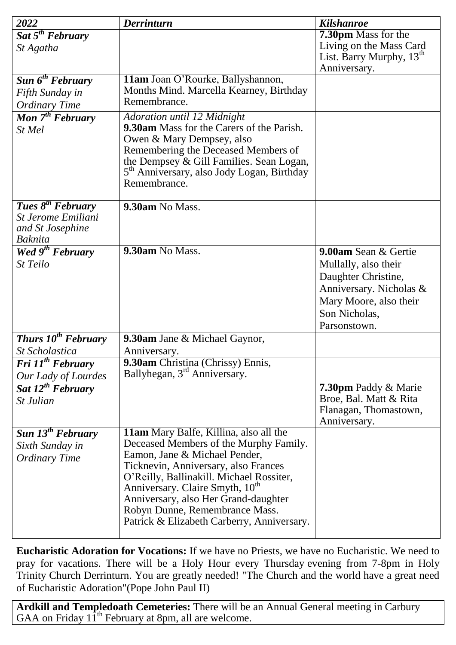| 2022                                          | <b>Derrinturn</b>                                                                       | <b>Kilshanroe</b>                                         |
|-----------------------------------------------|-----------------------------------------------------------------------------------------|-----------------------------------------------------------|
| Sat $5^{th}$ February                         |                                                                                         | <b>7.30pm</b> Mass for the                                |
| St Agatha                                     |                                                                                         | Living on the Mass Card<br>List. Barry Murphy, $13th$     |
|                                               |                                                                                         | Anniversary.                                              |
| Sun $6^{th}$ February                         | 11am Joan O'Rourke, Ballyshannon,                                                       |                                                           |
| Fifth Sunday in                               | Months Mind. Marcella Kearney, Birthday                                                 |                                                           |
| <b>Ordinary Time</b>                          | Remembrance.                                                                            |                                                           |
| Mon 7 <sup>th</sup> February                  | Adoration until 12 Midnight                                                             |                                                           |
| St Mel                                        | <b>9.30am</b> Mass for the Carers of the Parish.                                        |                                                           |
|                                               | Owen & Mary Dempsey, also                                                               |                                                           |
|                                               | Remembering the Deceased Members of<br>the Dempsey & Gill Families. Sean Logan,         |                                                           |
|                                               | 5 <sup>th</sup> Anniversary, also Jody Logan, Birthday                                  |                                                           |
|                                               | Remembrance.                                                                            |                                                           |
|                                               |                                                                                         |                                                           |
| Tues $8^{th}$ February                        | 9.30am No Mass.                                                                         |                                                           |
| <b>St Jerome Emiliani</b><br>and St Josephine |                                                                                         |                                                           |
| <b>Baknita</b>                                |                                                                                         |                                                           |
| <b>Wed <math>9^{th}</math> February</b>       | 9.30am No Mass.                                                                         | 9.00am Sean & Gertie                                      |
| St Teilo                                      |                                                                                         | Mullally, also their                                      |
|                                               |                                                                                         | Daughter Christine,                                       |
|                                               |                                                                                         | Anniversary. Nicholas &                                   |
|                                               |                                                                                         | Mary Moore, also their                                    |
|                                               |                                                                                         | Son Nicholas,                                             |
|                                               |                                                                                         | Parsonstown.                                              |
| <b>Thurs 10<sup>th</sup></b> February         | <b>9.30am</b> Jane & Michael Gaynor,                                                    |                                                           |
| <b>St Scholastica</b>                         | Anniversary.                                                                            |                                                           |
| Fri $11^{th}$ February                        | 9.30am Christina (Chrissy) Ennis,<br>Ballyhegan, 3 <sup>rd</sup> Anniversary.           |                                                           |
| Our Lady of Lourdes                           |                                                                                         |                                                           |
| Sat $12^{th}$ February                        |                                                                                         | <b>7.30pm Paddy &amp; Marie</b><br>Broe, Bal. Matt & Rita |
| <i>St Julian</i>                              |                                                                                         | Flanagan, Thomastown,                                     |
|                                               |                                                                                         | Anniversary.                                              |
| Sun $13^{th}$ February                        | <b>11am</b> Mary Balfe, Killina, also all the                                           |                                                           |
| Sixth Sunday in                               | Deceased Members of the Murphy Family.                                                  |                                                           |
| <b>Ordinary Time</b>                          | Eamon, Jane & Michael Pender,                                                           |                                                           |
|                                               | Ticknevin, Anniversary, also Frances                                                    |                                                           |
|                                               | O'Reilly, Ballinakill. Michael Rossiter,<br>Anniversary. Claire Smyth, 10 <sup>th</sup> |                                                           |
|                                               | Anniversary, also Her Grand-daughter                                                    |                                                           |
|                                               | Robyn Dunne, Remembrance Mass.                                                          |                                                           |
|                                               | Patrick & Elizabeth Carberry, Anniversary.                                              |                                                           |
|                                               |                                                                                         |                                                           |

**Eucharistic Adoration for Vocations:** If we have no Priests, we have no Eucharistic. We need to pray for vacations. There will be a Holy Hour every Thursday evening from 7-8pm in Holy Trinity Church Derrinturn. You are greatly needed! "The Church and the world have a great need of Eucharistic Adoration"(Pope John Paul II)

**Ardkill and Templedoath Cemeteries:** There will be an Annual General meeting in Carbury GAA on Friday  $11^{th}$  February at 8pm, all are welcome.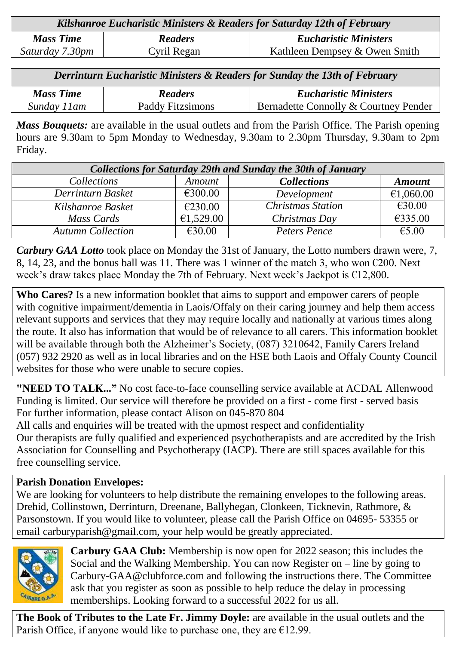| Kilshanroe Eucharistic Ministers & Readers for Saturday 12th of February |                |                               |  |  |
|--------------------------------------------------------------------------|----------------|-------------------------------|--|--|
| <b>Mass Time</b>                                                         | <b>Readers</b> | <b>Eucharistic Ministers</b>  |  |  |
| Saturday 7.30pm                                                          | Cyril Regan    | Kathleen Dempsey & Owen Smith |  |  |

| Derrinturn Eucharistic Ministers & Readers for Sunday the 13th of February |                  |                                       |  |  |
|----------------------------------------------------------------------------|------------------|---------------------------------------|--|--|
| <b>Mass Time</b>                                                           | <b>Readers</b>   | <b>Eucharistic Ministers</b>          |  |  |
| Sunday 11am                                                                | Paddy Fitzsimons | Bernadette Connolly & Courtney Pender |  |  |

*Mass Bouquets:* are available in the usual outlets and from the Parish Office. The Parish opening hours are 9.30am to 5pm Monday to Wednesday, 9.30am to 2.30pm Thursday, 9.30am to 2pm Friday.

| <b>Collections for Saturday 29th and Sunday the 30th of January</b> |               |                          |               |  |  |
|---------------------------------------------------------------------|---------------|--------------------------|---------------|--|--|
| Collections                                                         | <b>Amount</b> | <b>Collections</b>       | <b>Amount</b> |  |  |
| Derrinturn Basket                                                   | €300.00       | Development              | €1,060.00     |  |  |
| Kilshanroe Basket                                                   | €230.00       | <b>Christmas Station</b> | €30.00        |  |  |
| Mass Cards                                                          | €1,529.00     | Christmas Day            | €335.00       |  |  |
| <b>Autumn Collection</b>                                            | €30.00        | Peters Pence             | €5.00         |  |  |

*Carbury GAA Lotto* took place on Monday the 31st of January, the Lotto numbers drawn were, 7, 8, 14, 23, and the bonus ball was 11. There was 1 winner of the match 3, who won  $\epsilon$ 200. Next week's draw takes place Monday the 7th of February. Next week's Jackpot is €12,800.

**Who Cares?** Is a new information booklet that aims to support and empower carers of people with cognitive impairment/dementia in Laois/Offaly on their caring journey and help them access relevant supports and services that they may require locally and nationally at various times along the route. It also has information that would be of relevance to all carers. This information booklet will be available through both the Alzheimer's Society, (087) 3210642, Family Carers Ireland (057) 932 2920 as well as in local libraries and on the HSE both Laois and Offaly County Council websites for those who were unable to secure copies.

**"NEED TO TALK..."** No cost face-to-face counselling service available at ACDAL Allenwood Funding is limited. Our service will therefore be provided on a first - come first - served basis For further information, please contact Alison on 045-870 804

All calls and enquiries will be treated with the upmost respect and confidentiality Our therapists are fully qualified and experienced psychotherapists and are accredited by the Irish Association for Counselling and Psychotherapy (IACP). There are still spaces available for this free counselling service.

## **Parish Donation Envelopes:**

We are looking for volunteers to help distribute the remaining envelopes to the following areas. Drehid, Collinstown, Derrinturn, Dreenane, Ballyhegan, Clonkeen, Ticknevin, Rathmore, & Parsonstown. If you would like to volunteer, please call the Parish Office on 04695- 53355 or email carburyparish@gmail.com, your help would be greatly appreciated.



**Carbury GAA Club:** Membership is now open for 2022 season; this includes the Social and the Walking Membership. You can now Register on – line by going to Carbury-GAA@clubforce.com and following the instructions there. The Committee ask that you register as soon as possible to help reduce the delay in processing memberships. Looking forward to a successful 2022 for us all.

**The Book of Tributes to the Late Fr. Jimmy Doyle:** are available in the usual outlets and the Parish Office, if anyone would like to purchase one, they are  $£12.99$ .